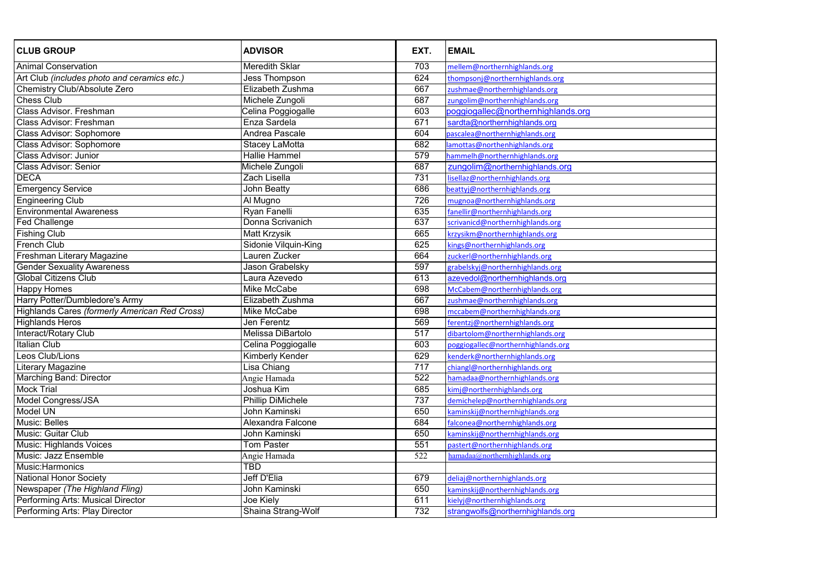| <b>CLUB GROUP</b>                             | <b>ADVISOR</b>           | EXT. | <b>EMAIL</b>                       |
|-----------------------------------------------|--------------------------|------|------------------------------------|
| Animal Conservation                           | <b>Meredith Sklar</b>    | 703  | mellem@northernhighlands.org       |
| Art Club (includes photo and ceramics etc.)   | <b>Jess Thompson</b>     | 624  | thompsonj@northernhighlands.org    |
| <b>Chemistry Club/Absolute Zero</b>           | Elizabeth Zushma         | 667  | zushmae@northernhighlands.org      |
| <b>Chess Club</b>                             | Michele Zungoli          | 687  | zungolim@northernhighlands.org     |
| <b>Class Advisor. Freshman</b>                | Celina Poggiogalle       | 603  | poggiogallec@northernhighlands.org |
| <b>Class Advisor: Freshman</b>                | Enza Sardela             | 671  | sardta@northernhighlands.org       |
| <b>Class Advisor: Sophomore</b>               | Andrea Pascale           | 604  | pascalea@northernhighlands.org     |
| <b>Class Advisor: Sophomore</b>               | <b>Stacey LaMotta</b>    | 682  | lamottas@northenhighlands.org      |
| <b>Class Advisor: Junior</b>                  | <b>Hallie Hammel</b>     | 579  | hammelh@northernhighlands.org      |
| <b>Class Advisor: Senior</b>                  | Michele Zungoli          | 687  | zungolim@northernhighlands.org     |
| <b>DECA</b>                                   | Zach Lisella             | 731  | lisellaz@northernhighlands.org     |
| <b>Emergency Service</b>                      | John Beatty              | 686  | beattyj@northernhighlands.org      |
| <b>Engineering Club</b>                       | Al Mugno                 | 726  | mugnoa@northernhighlands.org       |
| <b>Environmental Awareness</b>                | Ryan Fanelli             | 635  | fanellir@northernhighlands.org     |
| <b>Fed Challenge</b>                          | Donna Scrivanich         | 637  | scrivanicd@northernhighlands.org   |
| <b>Fishing Club</b>                           | Matt Krzysik             | 665  | krzysikm@northernhighlands.org     |
| <b>French Club</b>                            | Sidonie Vilquin-King     | 625  | kings@northernhighlands.org        |
| Freshman Literary Magazine                    | Lauren Zucker            | 664  | zuckerl@northernhighlands.org      |
| <b>Gender Sexuality Awareness</b>             | Jason Grabelsky          | 597  | grabelskyj@northernhighlands.org   |
| <b>Global Citizens Club</b>                   | Laura Azevedo            | 613  | azevedol@northernhighlands.org     |
| <b>Happy Homes</b>                            | Mike McCabe              | 698  | McCabem@northernhighlands.org      |
| Harry Potter/Dumbledore's Army                | Elizabeth Zushma         | 667  | zushmae@northernhighlands.org      |
| Highlands Cares (formerly American Red Cross) | Mike McCabe              | 698  | mccabem@northernhighlands.org      |
| <b>Highlands Heros</b>                        | <b>Jen Ferentz</b>       | 569  | ferentzj@northernhighlands.org     |
| Interact/Rotary Club                          | Melissa DiBartolo        | 517  | dibartolom@northernhighlands.org   |
| <b>Italian Club</b>                           | Celina Poggiogalle       | 603  | poggiogallec@northernhighlands.org |
| Leos Club/Lions                               | Kimberly Kender          | 629  | kenderk@northernhighlands.org      |
| Literary Magazine                             | Lisa Chiang              | 717  | chiangl@northernhighlands.org      |
| <b>Marching Band: Director</b>                | Angie Hamada             | 522  | hamadaa@northernhighlands.org      |
| <b>Mock Trial</b>                             | Joshua Kim               | 685  | kimj@northernhighlands.org         |
| <b>Model Congress/JSA</b>                     | <b>Phillip DiMichele</b> | 737  | demichelep@northernhighlands.org   |
| Model UN                                      | John Kaminski            | 650  | kaminskij@northernhighlands.org    |
| <b>Music: Belles</b>                          | Alexandra Falcone        | 684  | falconea@northernhighlands.org     |
| Music: Guitar Club                            | John Kaminski            | 650  | kaminskij@northernhighlands.org    |
| <b>Music: Highlands Voices</b>                | Tom Paster               | 551  | pastert@northernhighlands.org      |
| <b>Music: Jazz Ensemble</b>                   | Angie Hamada             | 522  | hamadaa@northernhighlands.org      |
| Music: Harmonics                              | TBD                      |      |                                    |
| <b>National Honor Society</b>                 | Jeff D'Elia              | 679  | deliaj@northernhighlands.org       |
| Newspaper (The Highland Fling)                | John Kaminski            | 650  | kaminskij@northernhighlands.org    |
| Performing Arts: Musical Director             | Joe Kiely                | 611  | kielyj@northernhighlands.org       |
| Performing Arts: Play Director                | Shaina Strang-Wolf       | 732  | strangwolfs@northernhighlands.org  |